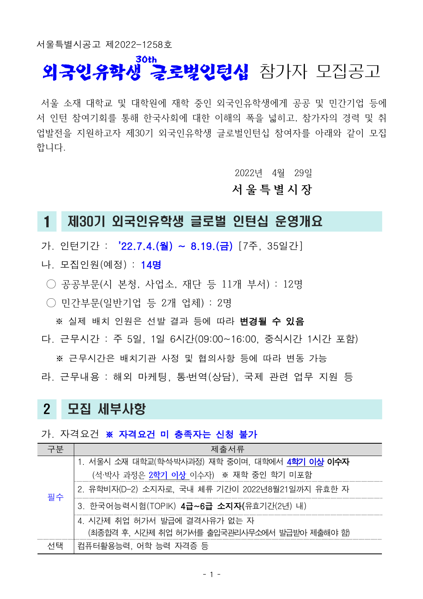서울특별시공고 제 2022-1258호

### **외국인유학생 긍로벙인턴십** 참가자 모집공고 **30th**

서울 소재 대학교 및 대학원에 재학 중인 외국인유학생에게 공공 및 민간기업 등에 서 인턴 참여기회를 통해 한국사회에 대한 이해의 폭을 넓히고, 참가자의 경력 및 취 업발전을 지원하고자 제30기 외국인유학생 글로벌인턴십 참여자를 아래와 같이 모집 합니다.

2022년 4월 29일

#### **서 울 특 별 시 장**

### 1 제30기 외국인유학생 글로벌 인턴십 운영개요

가. 인턴기간 : '22.7.4.(월) ~ 8.19.(금) [7주, 35일간]

나. 모집인원(예정) : 14명

- $\bigcirc$  공공부문(시 본청, 사업소, 재단 등 11개 부서) : 12명
- $\bigcirc$  민간부문 $($ 일반기업 등 2개 업체) : 2명

※ 실제 배치 인원은 선발 결과 등에 따라 변경될 수 있음

다. 근무시간 : 주 5일. 1일 6시간(09:00~16:00. 중식시간 1시간 포함)

 ※ 근무시간은 배치기관 사정 및 협의사항 등에 따라 변동 가능 라. 근무내용 : 해외 마케팅, 통·번역(상담), 국제 관련 업무 지원 등

## 2 모집 세부사항

#### 가. 자격요건 ※ 자격요건 미 충족자는 신청 불가

|  | 제줄서류                                                   |
|--|--------------------------------------------------------|
|  | 1. 서울시 소재 대학교(학석·박사과정) 재학 중이며. 대학에서 4 <b>학기 이상 이수자</b> |
|  | (석·박사 과정은 2 <mark>학기 이상</mark> 이수자) ※ 재학 중인 학기 미포함     |
|  | 2. 유학비자(D-2) 소지자로, 국내 체류 기간이 2022년8월21일까지 유효한 자        |
|  | 3. 한국어능력시험(TOPIK) 4급~6급 소지자(유효기간(2년) 내)                |
|  | 시간제 취업 허가서 발급에 결격사유가 없는 자                              |
|  | (최종합격 후, 시간제 취업 허기서를 출입국관리시무소에서 발급받아 제출해야 함)           |
|  | 컴퓨터활용능력. 어학 능력 자격증 등                                   |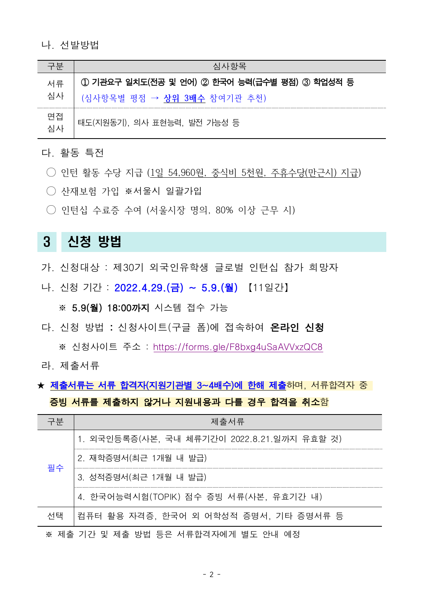#### 나. 선발방법

|          | 심사항목                                          |
|----------|-----------------------------------------------|
| 서류       | 1 기관요구 일치도(전공 및 언어) 2 한국어 능력(급수별 평점) 3 학업성적 등 |
| 심사       | (심사항목별 평점 → <b>상위 3배수</b> 참여기관 추천)            |
| 면접<br>심사 | 태도(지원동기), 의사 표현능력, 발전 가능성 등                   |

#### 다. 활동 특<u>전</u>

- $\bigcirc$  인턴 활동 수당 지급 (1일 54,960원, 중식비 5천원, 주휴수당(만근시) 지급)
- 산재보험 가입 ※서울시 일괄가입
- 인턴십 수료증 수여 (서울시장 명의, 80% 이상 근무 시)

## 3 신청 방법

- 가. 신청대상 : 제30기 외국인유학생 글로벌 인턴십 참가 희망자
- 나. 신청 기간 : 2022.4.29.(금) ~ 5.9.(월) 【11일간】

※ 5.9(월) 18:00까지 시스템 접수 가능

다. 신청 방법 : 신청사이트 (구글 폼)에 접속하여 **온라인 신청** 

※ 신청사이트 주소 : https://forms.gle/F8bxg4uSaAVVxzQC8

라. 제출서류

### ★ 제출서류는 서류 합격자(지원기관별 3~4배수)에 한해 제출하며, 서류합격자 중 증빙 서류를 제출하지 않거나 지원내용과 다를 경우 합격을 취소함

|    | 제출서류                                        |  |  |  |
|----|---------------------------------------------|--|--|--|
|    | 1. 외국인등록증(사본, 국내 체류기간이 2022.8.21.일까지 유효할 것) |  |  |  |
|    | 2. 재학증명서(최근 1개월 내 발급)                       |  |  |  |
| 필수 | 3. 성적증명서(최근 1개월 내 발급)                       |  |  |  |
|    | 4. 한국어능력시험(TOPIK) 점수 증빙 서류(사본, 유효기간 내)      |  |  |  |
| 서탠 | 컴퓨터 활용 자격증. 한국어 외 어학성적 증명서. 기타 증명서류 등       |  |  |  |
|    | 제출 기간 및 제출 방법 등은 서류합격자에게 별도 안내              |  |  |  |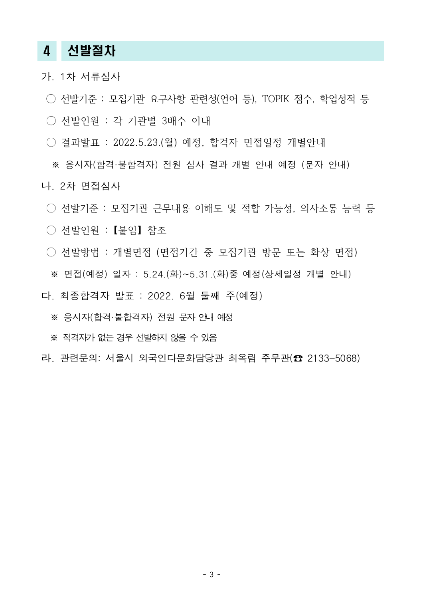## 4 선발절차

- 가. 1차 서류심사
- $\bigcirc$  선발기준 : 모집기관 요구사항 관련성(언어 등), TOPIK 점수, 학업성적 등
- 선발인원 : 각 기관별 3배수 이내
- 결과발표 : 2022.5.23.( 월 예정, 합격자 면접일정 개별안내

※ 응시자 (합격·불합격자) 전원 심사 결과 개별 안내 예정 (문자 안내)

- 나. 2차 면접심사
	- 선발기준 : 모집기관 근무내용 이해도 및 적합 가능성, 의사소통 능력 등
	- 선발인원 : 【붙임】 참조
	- : 선발방법 개별면접 (면접기간 중 모집기관 방문 또는 화상 면접) ※ 면접(예정) 일자 : 5.24.(화)~5.31.(화)중 예정(상세일정 개별 안내)
- 다. 최종합격자 발표 : 2022. 6월 둘째 주 예정)
	- ※ 응시자 합격 불합격자) 전원 문자 안내 예정
	- ※ 적격자가 없는 경우 선발하지 않을 수 있음
- 라. 관련문의: 서울시 외국인다문화담당관 최옥림 주무관(☎ 2133-5068)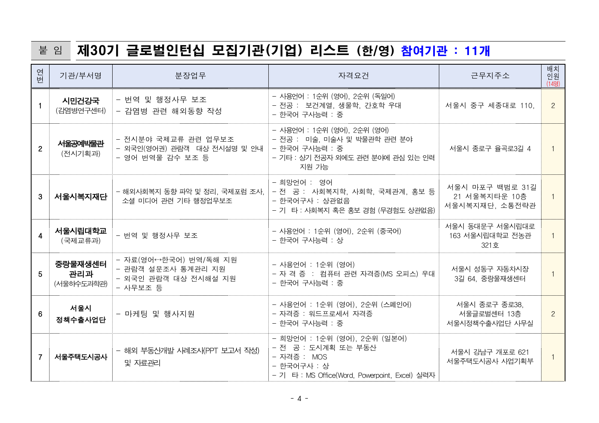# 붙 임 제 30기 글로벌인턴십 모집기관(기업) 리스트 (한/영) 참여기관 : 11개

| 연고                      | 기관/부서명                       | 분장업무                                                                            | 자격요건                                                                                                                                | 근무지주소                                              | 배치<br>인원<br>(14명)     |
|-------------------------|------------------------------|---------------------------------------------------------------------------------|-------------------------------------------------------------------------------------------------------------------------------------|----------------------------------------------------|-----------------------|
|                         | 시민건강국<br>(감염병연구센터)           | - 번역 및 행정사무 보조<br>- 감염병 관련 해외동향 작성                                              | - 사용언어 : 1순위 (영어), 2순위 (독일어)<br>- 전공 : 보건계열, 생물학, 간호학 우대<br>- 한국어 구사능력 : 중                                                          | 서울시 중구 세종대로 110,                                   | $\mathbf{2}^{\prime}$ |
| $\overline{2}$          | 서울공예박물관<br>(전시기획과)           | - 전시분야 국제교류 관련 업무보조<br>- 외국인(영어권) 관람객 대상 전시설명 및 안내<br>- 영어 번역물 감수 보조 등          | - 사용언어 : 1순위 (영어), 2순위 (영어)<br>- 전공 : 미술, 미술사 및 박물관학 관련 분야<br>- 한국어 구사능력 : 중<br>- 기타 : 상기 전공자 외에도 관련 분이에 관심 있는 인력<br>지원 가능          | 서울시 종로구 율곡로3길 4                                    | $\mathbf{1}$          |
| 3                       | │ 서울시복지재단                    | - 해외사회복지 동향 파악 및 정리, 국제포럼 조사,<br>소셜 미디어 관련 기타 행정업무보조                            | - 희망언어 : 영어<br>- 전 공 : 사회복지학, 사회학, 국제관계, 홍보 등<br>- 한국어구사 : 상관없음<br>- 기 타 : 사회복지 혹은 홍보 경험 (무경험도 상관없음)                                | 서울시 마포구 백범로 31길<br>21 서울복지타운 10층<br>서울시복지재단, 소통전략관 |                       |
| $\overline{\mathbf{4}}$ | 서울시립대학교<br>(국제교류과)           | - 번역 및 행정사무 보조                                                                  | - 사용언어 : 1순위 (영어), 2순위 (중국어)<br>- 한국어 구사능력 : 상                                                                                      | 서울시 동대문구 서울시립대로<br>163 서울시립대학교 전농관<br>321호         | $\mathbf{1}$          |
| 5                       | 중랑물재생센터<br>관리과<br>(서울하수도과학관) | - 자료(영어↔한국어) 번역/독해 지원<br>- 관람객 설문조사 통계관리 지원<br>- 외국인 관람객 대상 전시해설 지원<br>- 사무보조 등 | - 사용언어 : 1순위 (영어)<br>- 자 격 증 : 컴퓨터 관련 자격증(MS 오피스) 우대<br>- 한국어 구사능력 : 중                                                              | 서울시 성동구 자동차시장<br>3길 64, 중랑물재생센터                    |                       |
| 6                       | 서울시<br>정책수출사업단               | - 마케팅 및 행사지원                                                                    | - 사용언어 : 1순위 (영어), 2순위 (스페인어)<br>- 자격증 : 워드프로세서 자격증<br>- 한국어 구사능력 : 중                                                               | 서울시 종로구 종로38,<br>서울글로벌센터 13층<br>서울시정책수출사업단 사무실     | $\mathbf{2}^{\prime}$ |
| 7                       | 서울주택도시공사                     | - 해외 부동산개발 사례조사(PPT 보고서 작성)<br>및 자료관리                                           | - 희망언어 : 1순위 (영어), 2순위 (일본어)<br>- 전 공 : 도시계획 또는 부동산<br>- 자격증 : MOS<br>- 한국어구사 : 상<br>- 기 타 : MS Office(Word, Powerpoint, Excel) 실력자 | 서울시 강남구 개포로 621<br>서울주택도시공사 사업기획부                  |                       |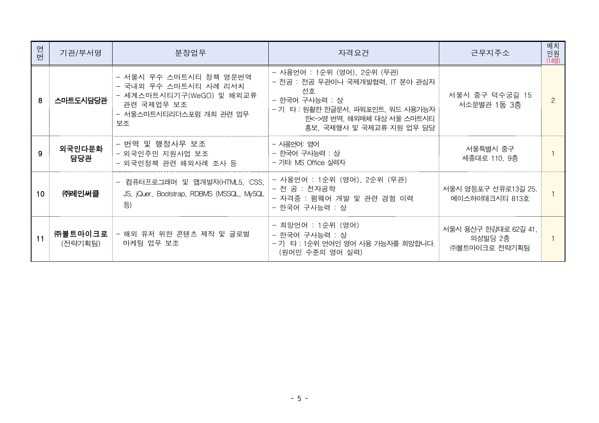| 연<br>헌 | 기관/부서명             | 분장업무                                                                                                                       | 자격요건                                                                                                                                                                                   | 근무지주소                                            | 배치<br>인원<br>(14명) |
|--------|--------------------|----------------------------------------------------------------------------------------------------------------------------|----------------------------------------------------------------------------------------------------------------------------------------------------------------------------------------|--------------------------------------------------|-------------------|
| 8      | 스마트도시담당관           | - 서울시 우수 스마트시티 정책 영문번역<br>- 국내외 우수 스마트시티 사례 리서치<br>- 세계스마트시티기구(WeGO) 및 해외교류<br>관련 국제업무 보조<br>- 서울스마트시티리더스포럼 개최 관련 업무<br>보조 | - 사용언어 : 1순위 (영어), 2순위 (무관)<br>- 전공 : 전공 무관이나 국제개발협력, IT 분야 관심자<br>선호<br>- 한국어 구사능력 : 상<br>- 기 타 : 원활한 한글문서, 파워포인트, 워드 사용가능자<br>한<->영 번역, 해외매체 대상 서울 스마트시티<br>홍보, 국제행사 및 국제교류 지원 업무 담당 | 서울시 중구 덕수궁길 15<br>서소문별관 1동 3층                    |                   |
|        | 외국인다문화<br>담당관      | - 번역 및 행정사무 보조<br>- 외국인주민 지원사업 보조<br>- 외국인정책 관련 해외사례 조사 등                                                                  | - 사용언어: 영어<br>- 한국어 구사능력 : 상<br>- 기타: MS Office 실력자                                                                                                                                    | 서울특별시 중구<br>세종대로 110, 9층                         |                   |
| 10     | ㈜레인써클              | - 컴퓨터프로그래머 및 앱개발자(HTML5, CSS,<br>JS, jQuer, Bootstrap, RDBMS (MSSQL, MySQL<br>등)                                           | - 사용언어 : 1순위 (영어), 2순위 (무관)<br>- 전 공 : 전자공학<br>- 자격증 : 펌웨어 개발 및 관련 경험 이력<br>- 한국어 구사능력 : 상                                                                                             | 서울시 영등포구 선유로13길 25.<br>에이스하이테크시티 813호            |                   |
| 11     | ㈜볼트마이크로<br>(전략기획팀) | - 해외 유저 위한 콘텐츠 제작 및 글로벌<br>마케팅 업무 보조                                                                                       | - 희망언어 : 1순위 (영어)<br>- 한국어 구사능력 : 상<br>- 기 타 : 1순위 언어인 영어 사용 가능자를 희망합니다.<br>(원어민 수준의 영어 실력)                                                                                            | 서울시 용산구 한강대로 62길 41,<br>의성빌딩 2층<br>㈜볼트마이크로 전략기획팀 |                   |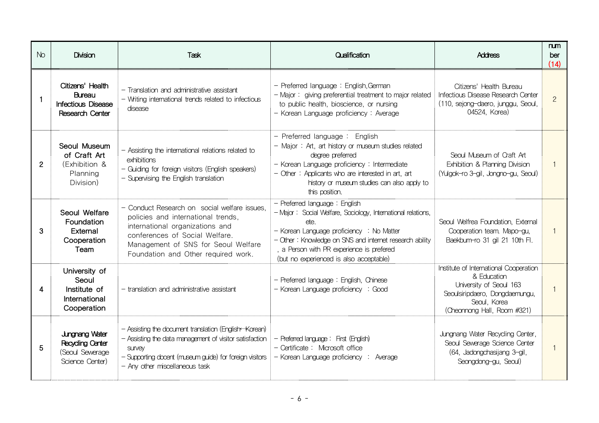| No. | <b>Division</b>                                                                        | Task                                                                                                                                                                                                                                  | Qualification                                                                                                                                                                                                                                                                                       | <b>Address</b>                                                                                                                                                    | num<br>ber<br>(14) |
|-----|----------------------------------------------------------------------------------------|---------------------------------------------------------------------------------------------------------------------------------------------------------------------------------------------------------------------------------------|-----------------------------------------------------------------------------------------------------------------------------------------------------------------------------------------------------------------------------------------------------------------------------------------------------|-------------------------------------------------------------------------------------------------------------------------------------------------------------------|--------------------|
|     | Citizens' Health<br><b>Bureau</b><br><b>Infectious Disease</b><br>Research Center      | - Translation and administrative assistant<br>- Writing international trends related to infectious<br>disease                                                                                                                         | - Preferred language: English, German<br>- Major: giving preferential treatment to major related<br>to public health, bioscience, or nursing<br>- Korean Language proficiency: Average                                                                                                              | Citizens' Health Bureau<br>Infectious Disease Research Center<br>(110, sejong-daero, junggu, Seoul,<br>04524, Korea)                                              | $\overline{2}$     |
| 2   | Seoul Museum<br>of Craft Art<br>(Exhibition &<br>Planning<br>Division)                 | - Assisting the international relations related to<br>exhibitions<br>- Guiding for foreign visitors (English speakers)<br>- Supervising the English translation                                                                       | - Preferred language : English<br>- Major: Art, art history or museum studies related<br>degree preferred<br>- Korean Language proficiency: Intermediate<br>- Other: Applicants who are interested in art, art<br>history or museum studies can also apply to<br>this position.                     | Seoul Museum of Craft Art<br>Exhibition & Planning Division<br>(Yulgok-ro 3-gil, Jongno-gu, Seoul)                                                                |                    |
| 3   | Seoul Welfare<br>Foundation<br>External<br>Cooperation<br>Team                         | - Conduct Research on social welfare issues.<br>policies and international trends,<br>international organizations and<br>conferences of Social Welfare.<br>Management of SNS for Seoul Welfare<br>Foundation and Other required work. | - Preferred language: English<br>- Major: Social Welfare, Sociology, International relations,<br>ete.<br>- Korean Language proficiency : No Matter<br>- Other: Knowledge on SNS and internet research ability<br>a Person with PR experience is prefered<br>(but no experienced is also acceptable) | Seoul Welfrea Foundation, External<br>Cooperation team. Mapo-gu,<br>Baekbum-ro 31 gil 21 10th Fl.                                                                 |                    |
| Δ   | University of<br>Seoul<br>Institute of<br>International<br>Cooperation                 | - translation and administrative assistant                                                                                                                                                                                            | - Preferred language: English, Chinese<br>- Korean Language proficiency : Good                                                                                                                                                                                                                      | Institute of International Cooperation<br>& Education<br>University of Seoul 163<br>Seoulsiripdaero, Dongdaemungu,<br>Seoul, Korea<br>(Cheonnong Hall, Room #321) |                    |
| 5   | <b>Jungnang Water</b><br><b>Recycling Center</b><br>(Seoul Sewerage<br>Science Center) | - Assisting the document translation (English Korean)<br>- Assisting the data management of visitor satisfaction<br><b>SUIVEV</b><br>- Supporting docent (museum guide) for foreign visitors<br>- Any other miscellaneous task        | - Preferred language: First (English)<br>- Certificate: Microsoft office<br>- Korean Language proficiency : Average                                                                                                                                                                                 | Jungnang Water Recycling Center,<br>Seoul Sewerage Science Center<br>(64, Jadongchasijang 3-gil,<br>Seongdong-gu, Seoul)                                          |                    |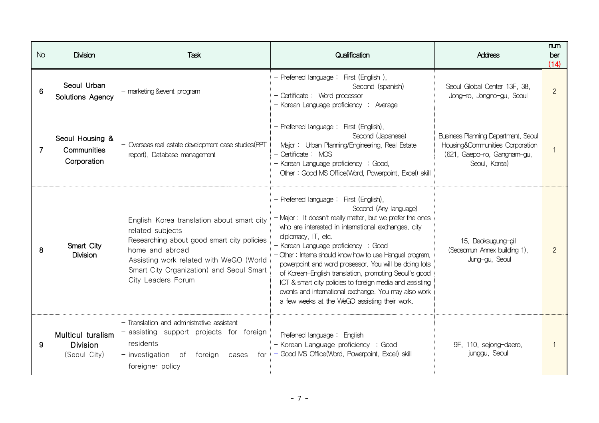| No | <b>Division</b>                                      | <b>Task</b>                                                                                                                                                                                                                                        | Qualification                                                                                                                                                                                                                                                                                                                                                                                                                                                                                                                                                                                         | <b>Address</b>                                                                                                         | num<br>ber<br>(14) |
|----|------------------------------------------------------|----------------------------------------------------------------------------------------------------------------------------------------------------------------------------------------------------------------------------------------------------|-------------------------------------------------------------------------------------------------------------------------------------------------------------------------------------------------------------------------------------------------------------------------------------------------------------------------------------------------------------------------------------------------------------------------------------------------------------------------------------------------------------------------------------------------------------------------------------------------------|------------------------------------------------------------------------------------------------------------------------|--------------------|
| 6  | Seoul Urban<br><b>Solutions Agency</b>               | - marketing & event program                                                                                                                                                                                                                        | - Preferred language: First (English),<br>Second (spanish)<br>- Certificate: Word processor<br>- Korean Language proficiency : Average                                                                                                                                                                                                                                                                                                                                                                                                                                                                | Seoul Global Center 13F, 38,<br>Jong-ro, Jongno-gu, Seoul                                                              | $\overline{2}$     |
| 7  | Seoul Housing &<br>Communities<br>Corporation        | - Overseas real estate development case studies (PPT<br>report), Database management                                                                                                                                                               | - Preferred language: First (English),<br>Second (Japanese)<br>- Major: Urban Planning/Engineering, Real Estate<br>- Certificate: MOS<br>- Korean Language proficiency : Good,<br>- Other: Good MS Office(Word, Powerpoint, Excel) skill                                                                                                                                                                                                                                                                                                                                                              | Business Planning Department, Seoul<br>Housing&Communities Corporation<br>(621, Gaepo-ro, Gangnam-gu,<br>Seoul, Korea) |                    |
| 8  | Smart City<br><b>Division</b>                        | - English-Korea translation about smart city<br>related subjects<br>- Researching about good smart city policies<br>home and abroad<br>- Assisting work related with WeGO (World<br>Smart City Organization) and Seoul Smart<br>City Leaders Forum | - Preferred language: First (English),<br>Second (Any language)<br>- Major: It doesn't really matter, but we prefer the ones<br>who are interested in international exchanges, city<br>diplomacy, IT, etc.<br>- Korean Language proficiency : Good<br>- Other: Interns should know how to use Hanguel program,<br>powerpoint and word prosessor. You will be doing lots<br>of Korean-English translation, promoting Seoul's good<br>ICT & smart city policies to foreign media and assisting<br>events and international exchange. You may also work<br>a few weeks at the WeGO assisting their work. | 15, Deoksugung-gil<br>(Seosomun-Annex building 1),<br>Jung-gu, Seoul                                                   |                    |
| 9  | Multicul turalism<br><b>Division</b><br>(Seoul City) | - Translation and administrative assistant<br>- assisting support projects for foreign<br>residents<br>- investigation of foreign cases<br>foreigner policy                                                                                        | - Preferred language: English<br>- Korean Language proficiency : Good<br>$f$ or $\vert$ - Good MS Office(Word, Powerpoint, Excel) skill                                                                                                                                                                                                                                                                                                                                                                                                                                                               | 9F, 110, sejong-daero,<br>junggu, Seoul                                                                                |                    |